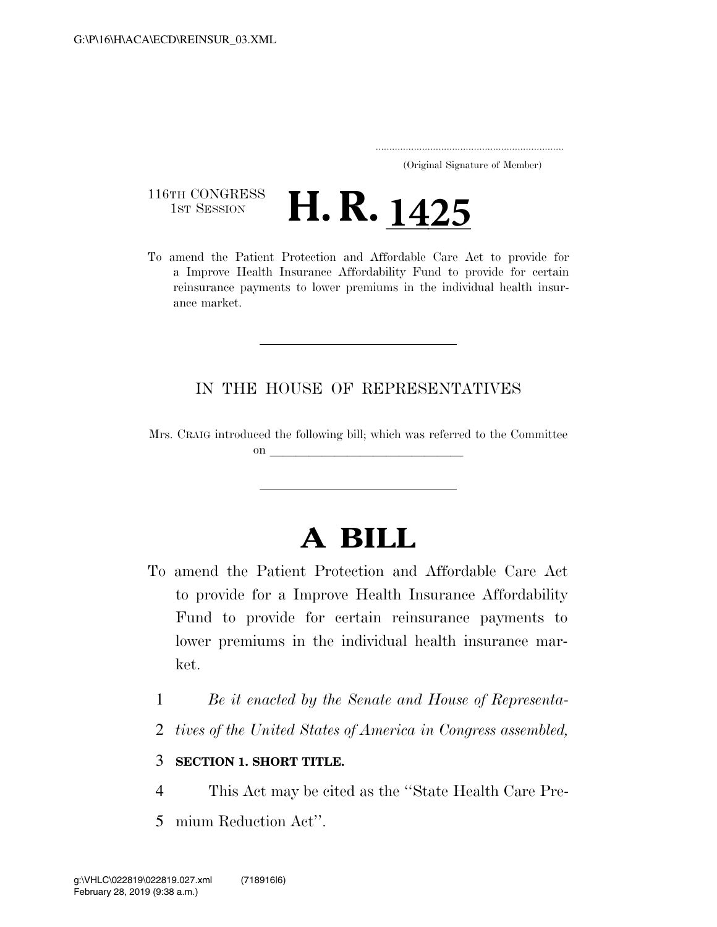..................................................................... (Original Signature of Member)

116TH CONGRESS<br>1st Session

116TH CONGRESS<br>To amend the Patient Protection and Affordable Care Act to provide for a Improve Health Insurance Affordability Fund to provide for certain reinsurance payments to lower premiums in the individual health insurance market.

### IN THE HOUSE OF REPRESENTATIVES

Mrs. CRAIG introduced the following bill; which was referred to the Committee on **later and later and later and later and later and later and later and later and later and later and later**  $\sim$ 

# **A BILL**

- To amend the Patient Protection and Affordable Care Act to provide for a Improve Health Insurance Affordability Fund to provide for certain reinsurance payments to lower premiums in the individual health insurance market.
	- 1 *Be it enacted by the Senate and House of Representa-*
	- 2 *tives of the United States of America in Congress assembled,*

### 3 **SECTION 1. SHORT TITLE.**

- 4 This Act may be cited as the ''State Health Care Pre-
- 5 mium Reduction Act''.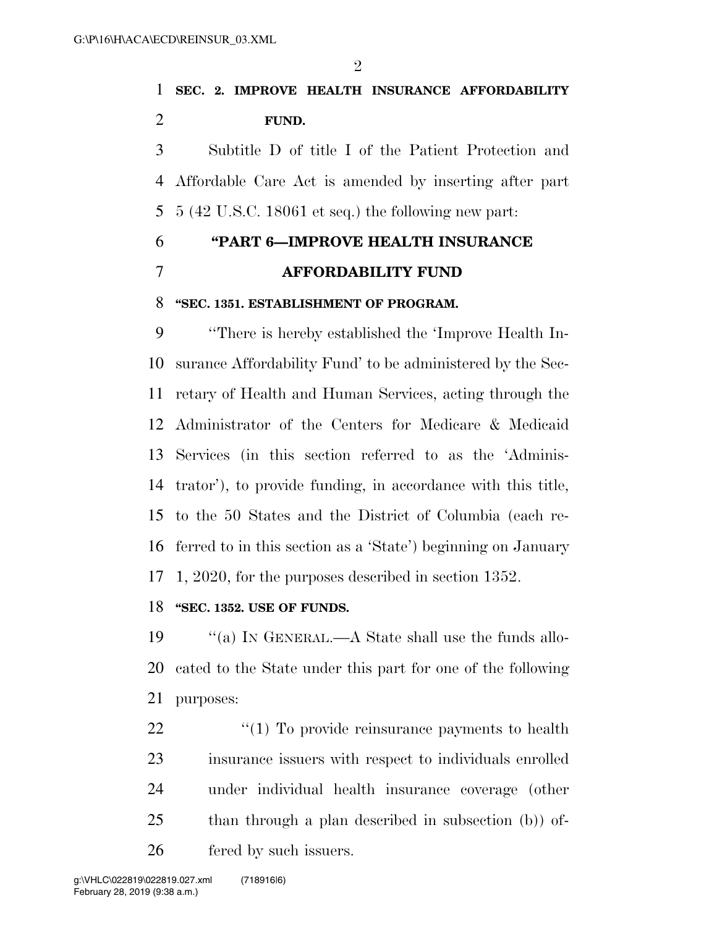$\mathcal{D}_{\mathcal{L}}$ 

### **SEC. 2. IMPROVE HEALTH INSURANCE AFFORDABILITY FUND.**

 Subtitle D of title I of the Patient Protection and Affordable Care Act is amended by inserting after part 5 (42 U.S.C. 18061 et seq.) the following new part:

### **''PART 6—IMPROVE HEALTH INSURANCE AFFORDABILITY FUND**

### **''SEC. 1351. ESTABLISHMENT OF PROGRAM.**

 ''There is hereby established the 'Improve Health In- surance Affordability Fund' to be administered by the Sec- retary of Health and Human Services, acting through the Administrator of the Centers for Medicare & Medicaid Services (in this section referred to as the 'Adminis- trator'), to provide funding, in accordance with this title, to the 50 States and the District of Columbia (each re- ferred to in this section as a 'State') beginning on January 1, 2020, for the purposes described in section 1352.

#### **''SEC. 1352. USE OF FUNDS.**

 ''(a) IN GENERAL.—A State shall use the funds allo- cated to the State under this part for one of the following purposes:

 $\frac{1}{2}$  (1) To provide reinsurance payments to health insurance issuers with respect to individuals enrolled under individual health insurance coverage (other than through a plan described in subsection (b)) of-fered by such issuers.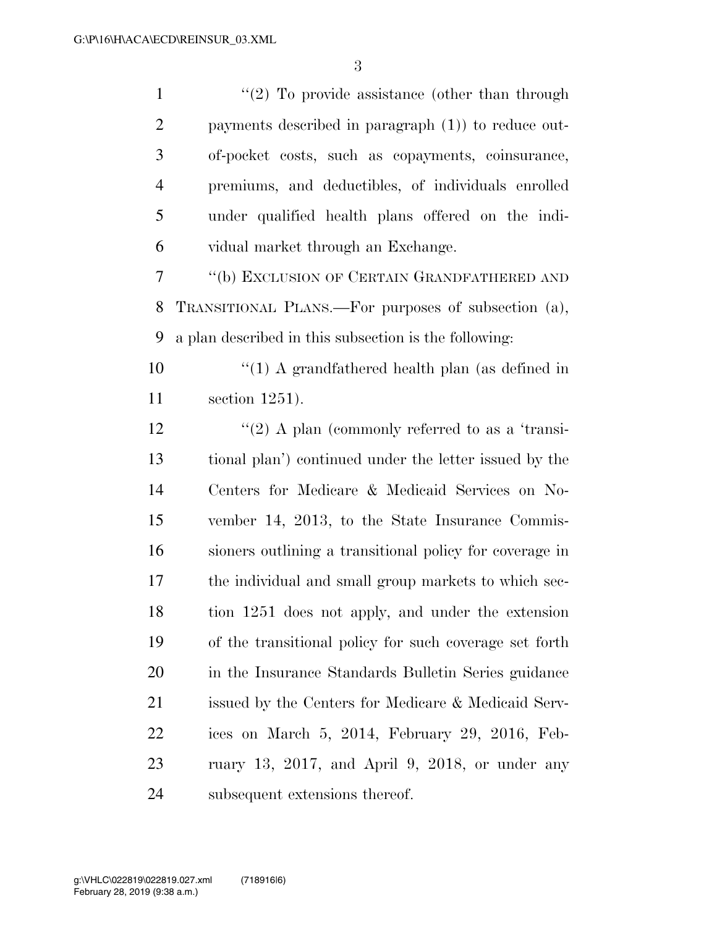| $\mathbf{1}$   | $"(2)$ To provide assistance (other than through        |
|----------------|---------------------------------------------------------|
| $\overline{2}$ | payments described in paragraph $(1)$ ) to reduce out-  |
| 3              | of-pocket costs, such as copayments, coinsurance,       |
| $\overline{4}$ | premiums, and deductibles, of individuals enrolled      |
| 5              | under qualified health plans offered on the indi-       |
| 6              | vidual market through an Exchange.                      |
| $\tau$         | "(b) EXCLUSION OF CERTAIN GRANDFATHERED AND             |
| 8              | TRANSITIONAL PLANS.—For purposes of subsection (a),     |
| 9              | a plan described in this subsection is the following:   |
| 10             | "(1) A grandfathered health plan (as defined in         |
| 11             | section $1251$ ).                                       |
| 12             | "(2) A plan (commonly referred to as a 'transi-         |
| 13             | tional plan') continued under the letter issued by the  |
| 14             | Centers for Medicare & Medicaid Services on No-         |
| 15             | vember 14, 2013, to the State Insurance Commis-         |
| 16             | sioners outlining a transitional policy for coverage in |
| 17             | the individual and small group markets to which sec-    |
| 18             | tion 1251 does not apply, and under the extension       |
| 19             | of the transitional policy for such coverage set forth  |
| 20             | in the Insurance Standards Bulletin Series guidance     |
| 21             | issued by the Centers for Medicare & Medicaid Serv-     |
| 22             | ices on March 5, 2014, February 29, 2016, Feb-          |
| 23             | ruary 13, 2017, and April 9, 2018, or under any         |
| 24             | subsequent extensions thereof.                          |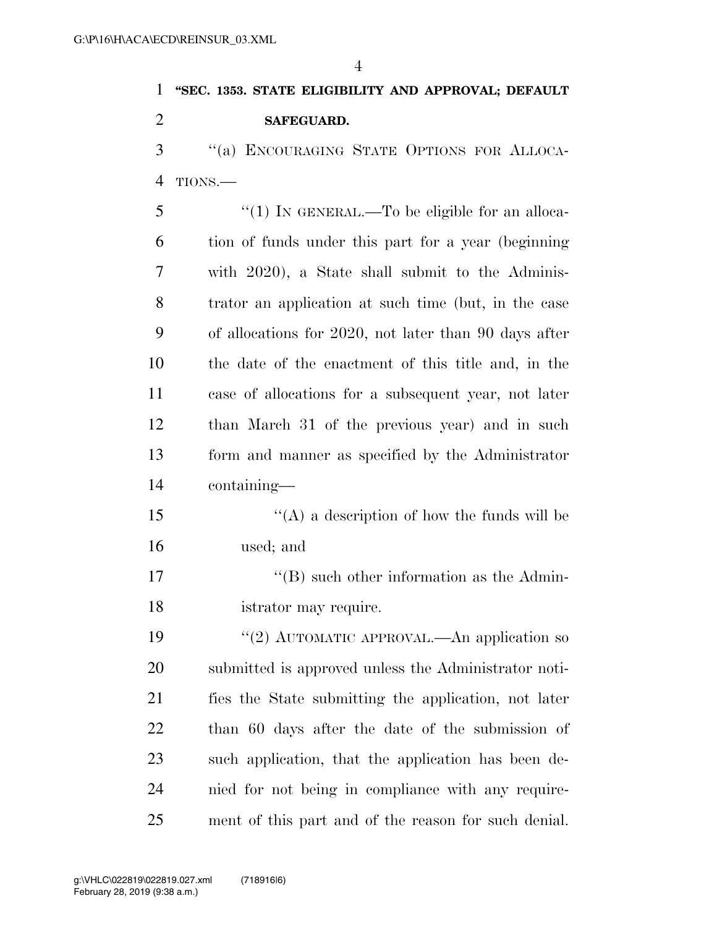## **''SEC. 1353. STATE ELIGIBILITY AND APPROVAL; DEFAULT SAFEGUARD.**  ''(a) ENCOURAGING STATE OPTIONS FOR ALLOCA-TIONS.—

5 "(1) In GENERAL.—To be eligible for an alloca- tion of funds under this part for a year (beginning with 2020), a State shall submit to the Adminis- trator an application at such time (but, in the case of allocations for 2020, not later than 90 days after the date of the enactment of this title and, in the case of allocations for a subsequent year, not later than March 31 of the previous year) and in such form and manner as specified by the Administrator containing—

 $\mathbf{15}$  ''(A) a description of how the funds will be used; and

17 ''(B) such other information as the Admin-istrator may require.

19 "(2) AUTOMATIC APPROVAL.—An application so submitted is approved unless the Administrator noti- fies the State submitting the application, not later than 60 days after the date of the submission of such application, that the application has been de- nied for not being in compliance with any require-ment of this part and of the reason for such denial.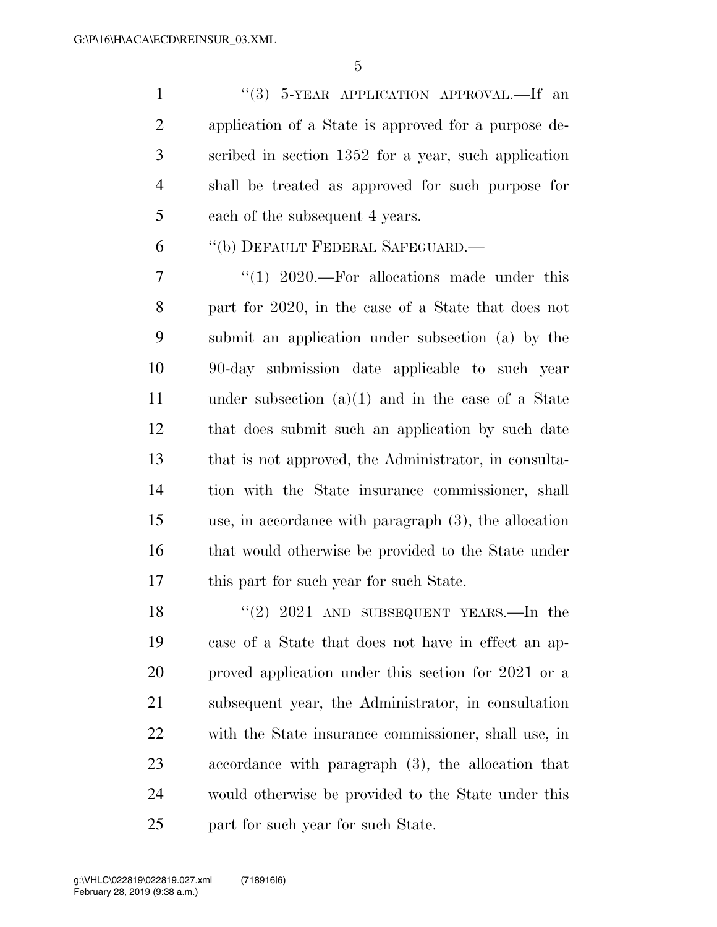1 ''(3) 5-YEAR APPLICATION APPROVAL.—If an application of a State is approved for a purpose de- scribed in section 1352 for a year, such application shall be treated as approved for such purpose for each of the subsequent 4 years.

''(b) DEFAULT FEDERAL SAFEGUARD.—

7 "(1) 2020.—For allocations made under this part for 2020, in the case of a State that does not submit an application under subsection (a) by the 90-day submission date applicable to such year under subsection (a)(1) and in the case of a State that does submit such an application by such date that is not approved, the Administrator, in consulta- tion with the State insurance commissioner, shall use, in accordance with paragraph (3), the allocation 16 that would otherwise be provided to the State under this part for such year for such State.

18 "(2) 2021 AND SUBSEQUENT YEARS.—In the case of a State that does not have in effect an ap- proved application under this section for 2021 or a subsequent year, the Administrator, in consultation with the State insurance commissioner, shall use, in accordance with paragraph (3), the allocation that would otherwise be provided to the State under this part for such year for such State.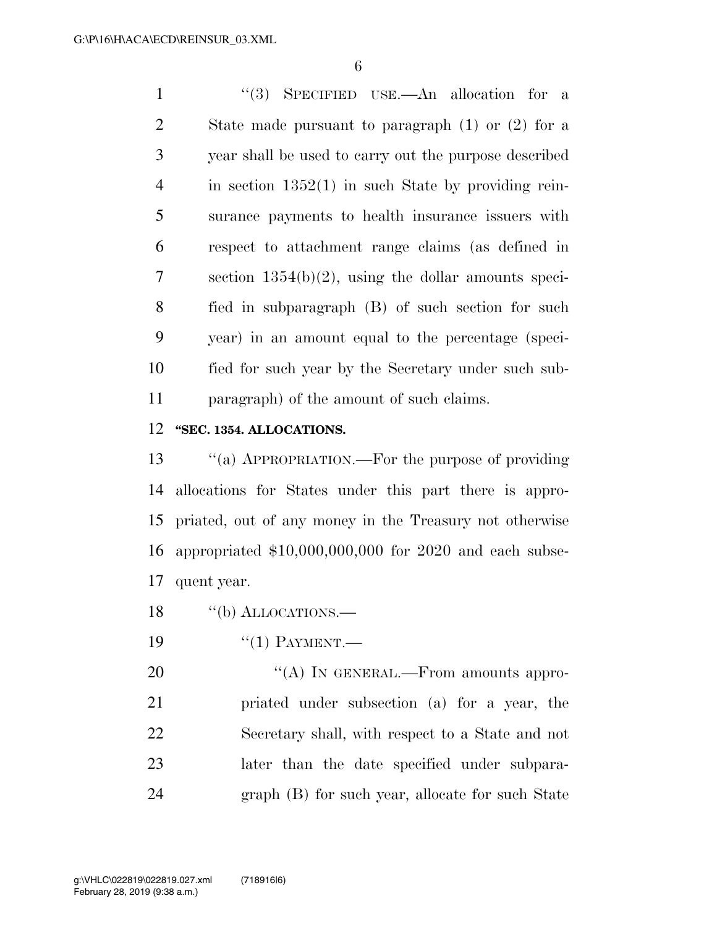''(3) SPECIFIED USE.—An allocation for a State made pursuant to paragraph (1) or (2) for a year shall be used to carry out the purpose described in section 1352(1) in such State by providing rein- surance payments to health insurance issuers with respect to attachment range claims (as defined in section 1354(b)(2), using the dollar amounts speci- fied in subparagraph (B) of such section for such year) in an amount equal to the percentage (speci- fied for such year by the Secretary under such sub-paragraph) of the amount of such claims.

#### **''SEC. 1354. ALLOCATIONS.**

 ''(a) APPROPRIATION.—For the purpose of providing allocations for States under this part there is appro- priated, out of any money in the Treasury not otherwise appropriated \$10,000,000,000 for 2020 and each subse-quent year.

- 18 "(b) ALLOCATIONS.
- 19 "(1) PAYMENT.—

20 "(A) IN GENERAL.—From amounts appro- priated under subsection (a) for a year, the Secretary shall, with respect to a State and not later than the date specified under subpara-graph (B) for such year, allocate for such State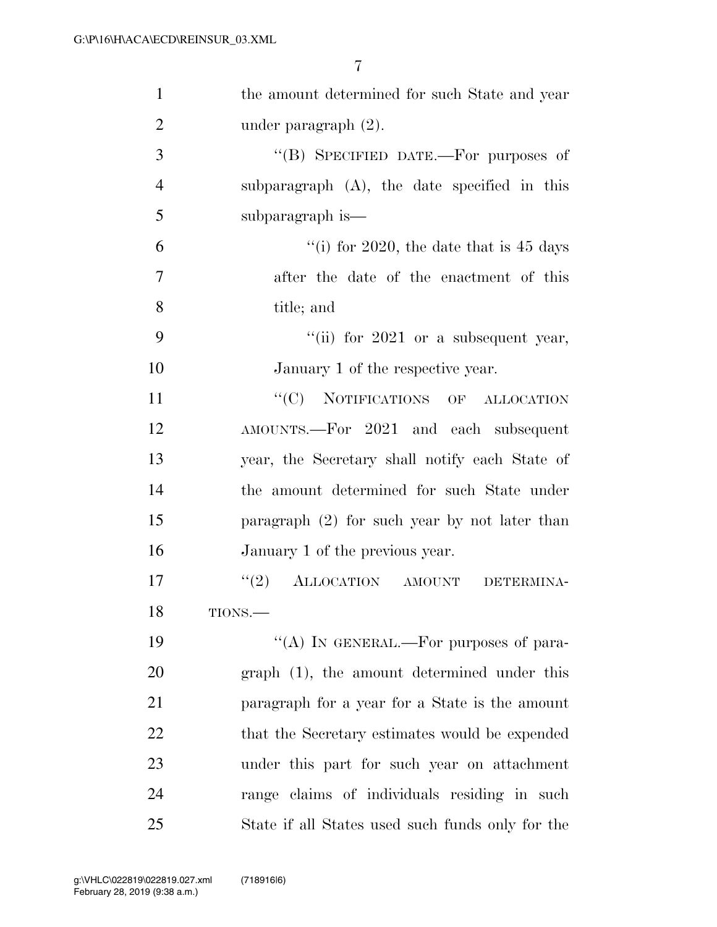| $\mathbf{1}$   | the amount determined for such State and year     |
|----------------|---------------------------------------------------|
| $\overline{2}$ | under paragraph $(2)$ .                           |
| 3              | "(B) SPECIFIED DATE.—For purposes of              |
| $\overline{4}$ | subparagraph $(A)$ , the date specified in this   |
| 5              | subparagraph is—                                  |
| 6              | "(i) for 2020, the date that is $45 \text{ days}$ |
| $\tau$         | after the date of the enactment of this           |
| 8              | title; and                                        |
| 9              | "(ii) for $2021$ or a subsequent year,            |
| 10             | January 1 of the respective year.                 |
| 11             | "(C) NOTIFICATIONS OF ALLOCATION                  |
| 12             | AMOUNTS.—For 2021 and each subsequent             |
| 13             | year, the Secretary shall notify each State of    |
| 14             | the amount determined for such State under        |
| 15             | paragraph $(2)$ for such year by not later than   |
| 16             | January 1 of the previous year.                   |
| 17             | (2)<br>ALLOCATION AMOUNT<br>DETERMINA-            |
| 18             | TIONS.-                                           |
| 19             | "(A) IN GENERAL.—For purposes of para-            |
| 20             | $graph(1)$ , the amount determined under this     |
| 21             | paragraph for a year for a State is the amount    |
| 22             | that the Secretary estimates would be expended    |
| 23             | under this part for such year on attachment       |
| 24             | range claims of individuals residing in such      |
| 25             | State if all States used such funds only for the  |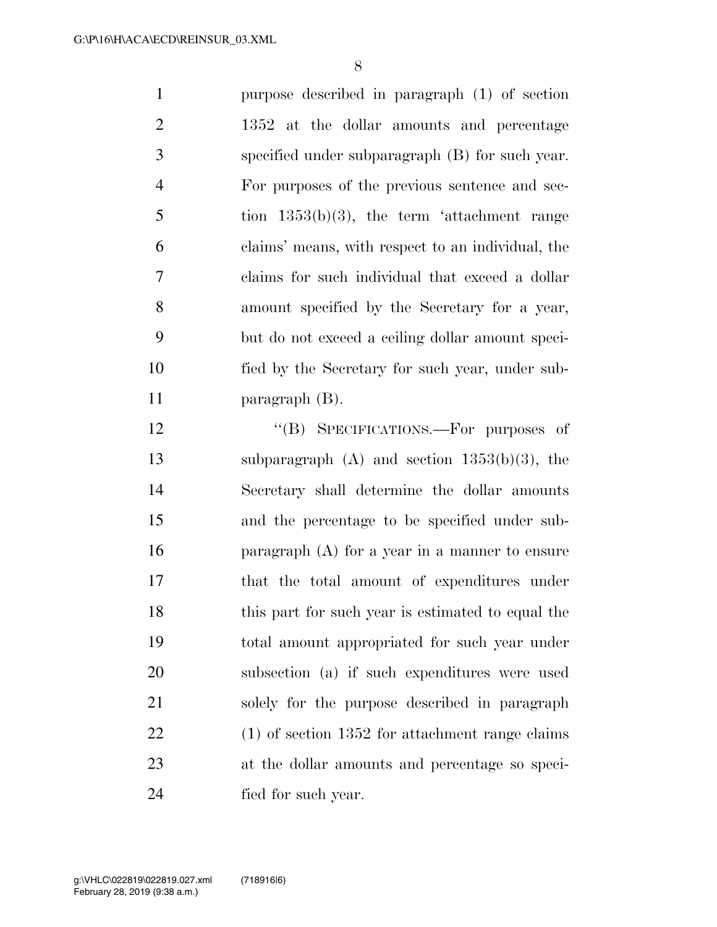purpose described in paragraph (1) of section 2 1352 at the dollar amounts and percentage specified under subparagraph (B) for such year. For purposes of the previous sentence and sec-5 tion  $1353(b)(3)$ , the term 'attachment range claims' means, with respect to an individual, the claims for such individual that exceed a dollar amount specified by the Secretary for a year, but do not exceed a ceiling dollar amount speci- fied by the Secretary for such year, under sub-paragraph (B).

12 "(B) SPECIFICATIONS.—For purposes of subparagraph (A) and section 1353(b)(3), the Secretary shall determine the dollar amounts and the percentage to be specified under sub- paragraph (A) for a year in a manner to ensure that the total amount of expenditures under this part for such year is estimated to equal the total amount appropriated for such year under subsection (a) if such expenditures were used solely for the purpose described in paragraph (1) of section 1352 for attachment range claims at the dollar amounts and percentage so speci-fied for such year.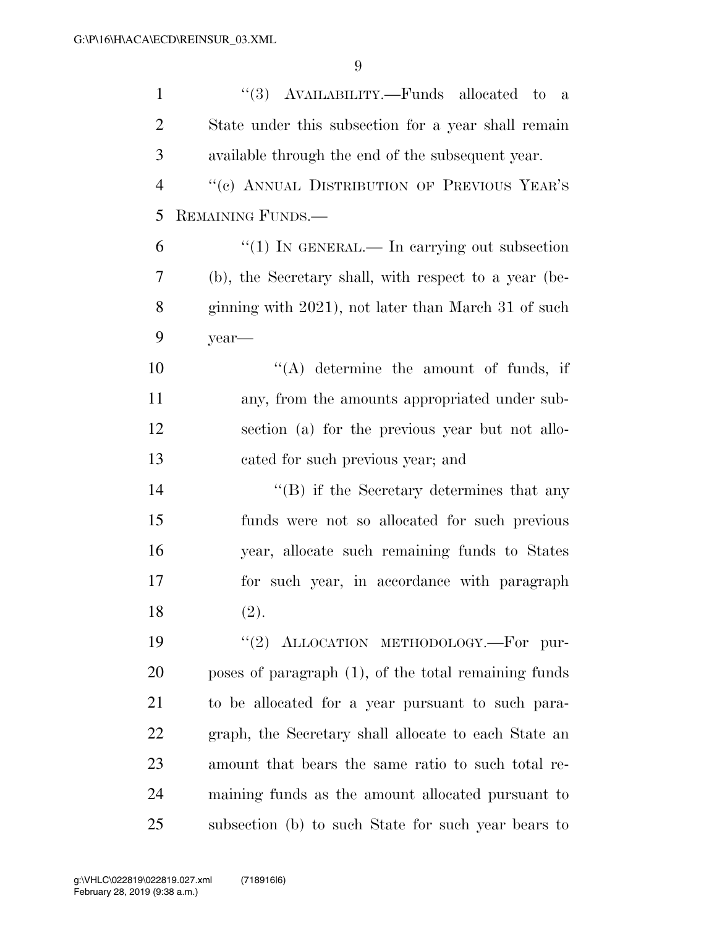| $\mathbf{1}$   | "(3) AVAILABILITY.—Funds allocated to a                 |
|----------------|---------------------------------------------------------|
| $\overline{2}$ | State under this subsection for a year shall remain     |
| 3              | available through the end of the subsequent year.       |
| $\overline{4}$ | "(c) ANNUAL DISTRIBUTION OF PREVIOUS YEAR'S             |
| 5              | REMAINING FUNDS.                                        |
| 6              | "(1) IN GENERAL.— In carrying out subsection            |
| 7              | (b), the Secretary shall, with respect to a year (be-   |
| 8              | ginning with 2021), not later than March 31 of such     |
| 9              | year—                                                   |
| 10             | $\lq\lq$ determine the amount of funds, if              |
| 11             | any, from the amounts appropriated under sub-           |
| 12             | section (a) for the previous year but not allo-         |
| 13             | cated for such previous year; and                       |
| 14             | $\lq\lq$ if the Secretary determines that any           |
| 15             | funds were not so allocated for such previous           |
| 16             | year, allocate such remaining funds to States           |
| 17             | for such year, in accordance with paragraph             |
| 18             | (2).                                                    |
| 19             | "(2) ALLOCATION METHODOLOGY.-For pur-                   |
| 20             | poses of paragraph $(1)$ , of the total remaining funds |
| 21             | to be allocated for a year pursuant to such para-       |
| 22             | graph, the Secretary shall allocate to each State an    |
| 23             | amount that bears the same ratio to such total re-      |
| 24             | maining funds as the amount allocated pursuant to       |
| 25             | subsection (b) to such State for such year bears to     |